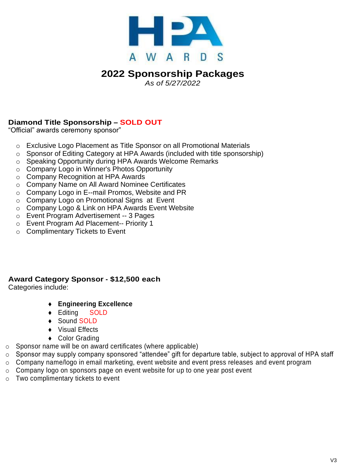

# **2022 Sponsorship Packages**

*As of 5/27/2022*

#### **Diamond Title Sponsorship – SOLD OUT**

"Official" awards ceremony sponsor"

- o Exclusive Logo Placement as Title Sponsor on all Promotional Materials
- o Sponsor of Editing Category at HPA Awards (included with title sponsorship)
- o Speaking Opportunity during HPA Awards Welcome Remarks
- o Company Logo in Winner's Photos Opportunity
- o Company Recognition at HPA Awards
- o Company Name on All Award Nominee Certificates
- o Company Logo in E--mail Promos, Website and PR
- o Company Logo on Promotional Signs at Event
- o Company Logo & Link on HPA Awards Event Website
- o Event Program Advertisement -- 3 Pages
- o Event Program Ad Placement-- Priority 1
- o Complimentary Tickets to Event

#### **Award Category Sponsor - \$12,500 each**

Categories include:

- **Engineering Excellence**
- Editing SOLD
- ◆ Sound SOLD
- ◆ Visual Effects
- ◆ Color Grading
- $\circ$  Sponsor name will be on award certificates (where applicable)
- o Sponsor may supply company sponsored "attendee" gift for departure table, subject to approval of HPA staff
- o Company name/logo in email marketing, event website and event press releases and event program
- $\circ$  Company logo on sponsors page on event website for up to one year post event
- o Two complimentary tickets to event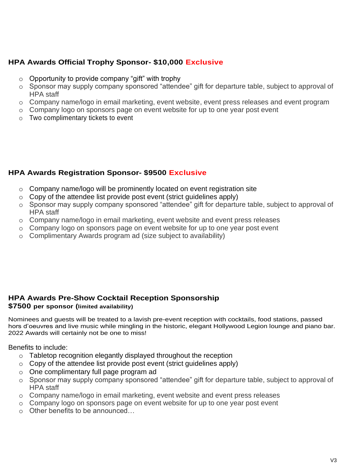#### **HPA Awards Official Trophy Sponsor- \$10,000 Exclusive**

- $\circ$  Opportunity to provide company "gift" with trophy
- o Sponsor may supply company sponsored "attendee" gift for departure table, subject to approval of HPA staff
- o Company name/logo in email marketing, event website, event press releases and event program
- o Company logo on sponsors page on event website for up to one year post event
- o Two complimentary tickets to event

#### **HPA Awards Registration Sponsor- \$9500 Exclusive**

- o Company name/logo will be prominently located on event registration site
- $\circ$  Copy of the attendee list provide post event (strict quidelines apply)
- o Sponsor may supply company sponsored "attendee" gift for departure table, subject to approval of HPA staff
- o Company name/logo in email marketing, event website and event press releases
- o Company logo on sponsors page on event website for up to one year post event
- o Complimentary Awards program ad (size subject to availability)

### **HPA Awards Pre-Show Cocktail Reception Sponsorship**

#### **\$7500 per sponsor (limited availability)**

Nominees and guests will be treated to a lavish pre-event reception with cocktails, food stations, passed hors d'oeuvres and live music while mingling in the historic, elegant Hollywood Legion lounge and piano bar. 2022 Awards will certainly not be one to miss!

Benefits to include:

- o Tabletop recognition elegantly displayed throughout the reception
- $\circ$  Copy of the attendee list provide post event (strict quidelines apply)
- o One complimentary full page program ad
- o Sponsor may supply company sponsored "attendee" gift for departure table, subject to approval of HPA staff
- o Company name/logo in email marketing, event website and event press releases
- o Company logo on sponsors page on event website for up to one year post event
- $\circ$  Other benefits to be announced